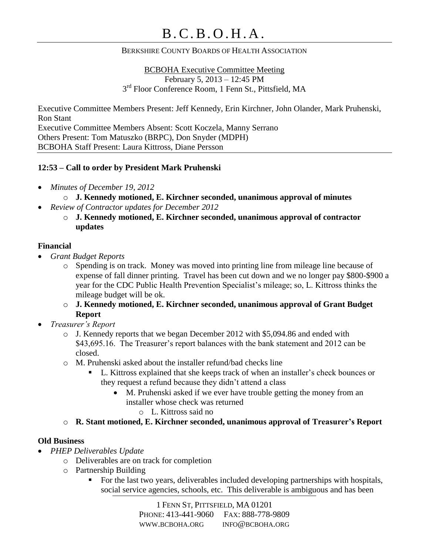#### BERKSHIRE COUNTY BOARDS OF HEALTH ASSOCIATION

BCBOHA Executive Committee Meeting February 5, 2013 – 12:45 PM 3<sup>rd</sup> Floor Conference Room, 1 Fenn St., Pittsfield, MA

Executive Committee Members Present: Jeff Kennedy, Erin Kirchner, John Olander, Mark Pruhenski, Ron Stant Executive Committee Members Absent: Scott Koczela, Manny Serrano Others Present: Tom Matuszko (BRPC), Don Snyder (MDPH) BCBOHA Staff Present: Laura Kittross, Diane Persson

### **12:53 – Call to order by President Mark Pruhenski**

- *Minutes of December 19, 2012*
	- o **J. Kennedy motioned, E. Kirchner seconded, unanimous approval of minutes**
- *Review of Contractor updates for December 2012*
	- o **J. Kennedy motioned, E. Kirchner seconded, unanimous approval of contractor updates**

### **Financial**

- *Grant Budget Reports*
	- o Spending is on track. Money was moved into printing line from mileage line because of expense of fall dinner printing. Travel has been cut down and we no longer pay \$800-\$900 a year for the CDC Public Health Prevention Specialist's mileage; so, L. Kittross thinks the mileage budget will be ok.
	- o **J. Kennedy motioned, E. Kirchner seconded, unanimous approval of Grant Budget Report**
- *Treasurer's Report*
	- o J. Kennedy reports that we began December 2012 with \$5,094.86 and ended with \$43,695.16. The Treasurer's report balances with the bank statement and 2012 can be closed.
	- o M. Pruhenski asked about the installer refund/bad checks line
		- L. Kittross explained that she keeps track of when an installer's check bounces or they request a refund because they didn't attend a class
			- M. Pruhenski asked if we ever have trouble getting the money from an installer whose check was returned
				- o L. Kittross said no
	- o **R. Stant motioned, E. Kirchner seconded, unanimous approval of Treasurer's Report**

### **Old Business**

- *PHEP Deliverables Update*
	- o Deliverables are on track for completion
	- o Partnership Building
		- For the last two years, deliverables included developing partnerships with hospitals, social service agencies, schools, etc. This deliverable is ambiguous and has been

1 FENN ST, PITTSFIELD, MA 01201 PHONE: 413-441-9060 FAX: 888-778-9809 WWW.BCBOHA.ORG INFO@BCBOHA.ORG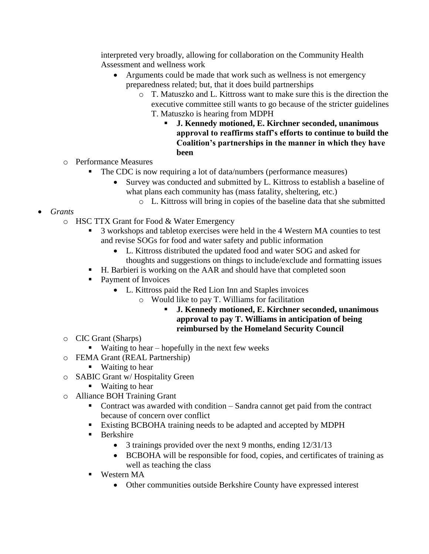interpreted very broadly, allowing for collaboration on the Community Health Assessment and wellness work

- Arguments could be made that work such as wellness is not emergency preparedness related; but, that it does build partnerships
	- o T. Matuszko and L. Kittross want to make sure this is the direction the executive committee still wants to go because of the stricter guidelines T. Matuszko is hearing from MDPH
		- **J. Kennedy motioned, E. Kirchner seconded, unanimous approval to reaffirms staff's efforts to continue to build the Coalition's partnerships in the manner in which they have been**
- o Performance Measures
	- The CDC is now requiring a lot of data/numbers (performance measures)
		- Survey was conducted and submitted by L. Kittross to establish a baseline of what plans each community has (mass fatality, sheltering, etc.)
			- o L. Kittross will bring in copies of the baseline data that she submitted
- *Grants*
	- o HSC TTX Grant for Food & Water Emergency
		- <sup>3</sup> 3 workshops and tabletop exercises were held in the 4 Western MA counties to test and revise SOGs for food and water safety and public information
			- L. Kittross distributed the updated food and water SOG and asked for thoughts and suggestions on things to include/exclude and formatting issues
		- H. Barbieri is working on the AAR and should have that completed soon
		- Payment of Invoices
			- L. Kittross paid the Red Lion Inn and Staples invoices
				- o Would like to pay T. Williams for facilitation
					- **J. Kennedy motioned, E. Kirchner seconded, unanimous approval to pay T. Williams in anticipation of being reimbursed by the Homeland Security Council**
	- o CIC Grant (Sharps)
		- $\blacksquare$  Waiting to hear hopefully in the next few weeks
	- o FEMA Grant (REAL Partnership)
		- Waiting to hear
	- o SABIC Grant w/ Hospitality Green
		- Waiting to hear
	- o Alliance BOH Training Grant
		- Contract was awarded with condition Sandra cannot get paid from the contract because of concern over conflict
		- Existing BCBOHA training needs to be adapted and accepted by MDPH
		- **Berkshire** 
			- 3 trainings provided over the next 9 months, ending  $12/31/13$
			- BCBOHA will be responsible for food, copies, and certificates of training as well as teaching the class
		- Western MA
			- Other communities outside Berkshire County have expressed interest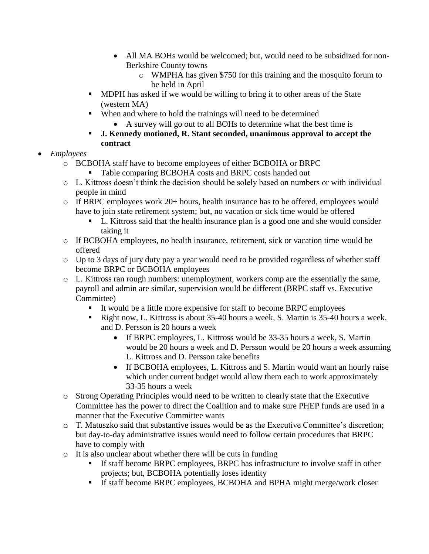- All MA BOHs would be welcomed; but, would need to be subsidized for non-Berkshire County towns
	- o WMPHA has given \$750 for this training and the mosquito forum to be held in April
- MDPH has asked if we would be willing to bring it to other areas of the State (western MA)
- When and where to hold the trainings will need to be determined
	- A survey will go out to all BOHs to determine what the best time is
- **J. Kennedy motioned, R. Stant seconded, unanimous approval to accept the contract**

# *Employees*

- o BCBOHA staff have to become employees of either BCBOHA or BRPC
	- Table comparing BCBOHA costs and BRPC costs handed out
- o L. Kittross doesn't think the decision should be solely based on numbers or with individual people in mind
- $\circ$  If BRPC employees work 20+ hours, health insurance has to be offered, employees would have to join state retirement system; but, no vacation or sick time would be offered
	- L. Kittross said that the health insurance plan is a good one and she would consider taking it
- o If BCBOHA employees, no health insurance, retirement, sick or vacation time would be offered
- o Up to 3 days of jury duty pay a year would need to be provided regardless of whether staff become BRPC or BCBOHA employees
- o L. Kittross ran rough numbers: unemployment, workers comp are the essentially the same, payroll and admin are similar, supervision would be different (BRPC staff vs. Executive Committee)
	- It would be a little more expensive for staff to become BRPC employees
	- Right now, L. Kittross is about 35-40 hours a week, S. Martin is 35-40 hours a week, and D. Persson is 20 hours a week
		- If BRPC employees, L. Kittross would be 33-35 hours a week, S. Martin would be 20 hours a week and D. Persson would be 20 hours a week assuming L. Kittross and D. Persson take benefits
		- If BCBOHA employees, L. Kittross and S. Martin would want an hourly raise which under current budget would allow them each to work approximately 33-35 hours a week
- o Strong Operating Principles would need to be written to clearly state that the Executive Committee has the power to direct the Coalition and to make sure PHEP funds are used in a manner that the Executive Committee wants
- o T. Matuszko said that substantive issues would be as the Executive Committee's discretion; but day-to-day administrative issues would need to follow certain procedures that BRPC have to comply with
- o It is also unclear about whether there will be cuts in funding
	- If staff become BRPC employees, BRPC has infrastructure to involve staff in other projects; but, BCBOHA potentially loses identity
	- If staff become BRPC employees, BCBOHA and BPHA might merge/work closer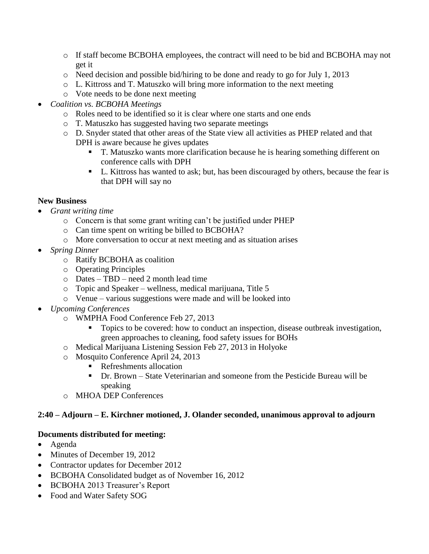- o If staff become BCBOHA employees, the contract will need to be bid and BCBOHA may not get it
- o Need decision and possible bid/hiring to be done and ready to go for July 1, 2013
- $\circ$  L. Kittross and T. Matuszko will bring more information to the next meeting
- o Vote needs to be done next meeting
- *Coalition vs. BCBOHA Meetings*
	- o Roles need to be identified so it is clear where one starts and one ends
	- o T. Matuszko has suggested having two separate meetings
	- o D. Snyder stated that other areas of the State view all activities as PHEP related and that DPH is aware because he gives updates
		- T. Matuszko wants more clarification because he is hearing something different on conference calls with DPH
		- L. Kittross has wanted to ask; but, has been discouraged by others, because the fear is that DPH will say no

## **New Business**

- *Grant writing time*
	- o Concern is that some grant writing can't be justified under PHEP
	- o Can time spent on writing be billed to BCBOHA?
	- o More conversation to occur at next meeting and as situation arises
- *Spring Dinner*
	- o Ratify BCBOHA as coalition
	- o Operating Principles
	- o Dates TBD need 2 month lead time
	- o Topic and Speaker wellness, medical marijuana, Title 5
	- o Venue various suggestions were made and will be looked into
- *Upcoming Conferences*
	- o WMPHA Food Conference Feb 27, 2013
		- Topics to be covered: how to conduct an inspection, disease outbreak investigation, green approaches to cleaning, food safety issues for BOHs
	- o Medical Marijuana Listening Session Feb 27, 2013 in Holyoke
	- o Mosquito Conference April 24, 2013
		- Refreshments allocation
		- Dr. Brown State Veterinarian and someone from the Pesticide Bureau will be speaking
	- o MHOA DEP Conferences

## **2:40 – Adjourn – E. Kirchner motioned, J. Olander seconded, unanimous approval to adjourn**

## **Documents distributed for meeting:**

- Agenda
- Minutes of December 19, 2012
- Contractor updates for December 2012
- BCBOHA Consolidated budget as of November 16, 2012
- BCBOHA 2013 Treasurer's Report
- Food and Water Safety SOG